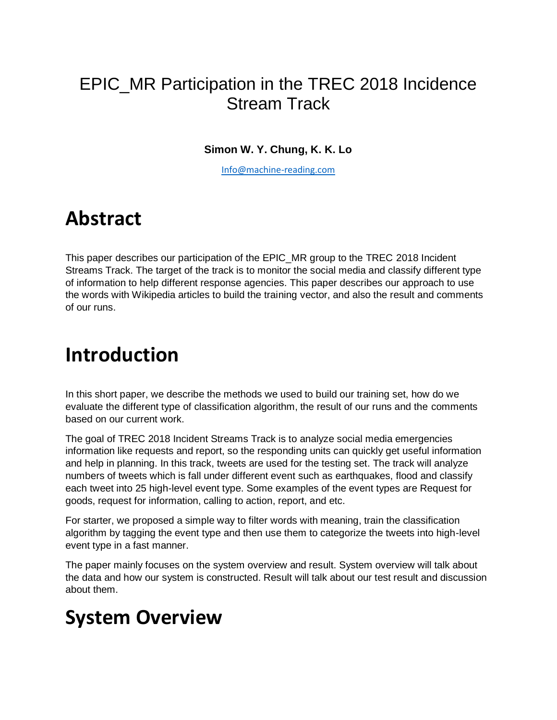### EPIC\_MR Participation in the TREC 2018 Incidence Stream Track

#### **Simon W. Y. Chung, K. K. Lo**

[Info@machine-reading.com](mailto:Info@machine-reading.com)

## **Abstract**

This paper describes our participation of the EPIC\_MR group to the TREC 2018 Incident Streams Track. The target of the track is to monitor the social media and classify different type of information to help different response agencies. This paper describes our approach to use the words with Wikipedia articles to build the training vector, and also the result and comments of our runs.

## **Introduction**

In this short paper, we describe the methods we used to build our training set, how do we evaluate the different type of classification algorithm, the result of our runs and the comments based on our current work.

The goal of TREC 2018 Incident Streams Track is to analyze social media emergencies information like requests and report, so the responding units can quickly get useful information and help in planning. In this track, tweets are used for the testing set. The track will analyze numbers of tweets which is fall under different event such as earthquakes, flood and classify each tweet into 25 high-level event type. Some examples of the event types are Request for goods, request for information, calling to action, report, and etc.

For starter, we proposed a simple way to filter words with meaning, train the classification algorithm by tagging the event type and then use them to categorize the tweets into high-level event type in a fast manner.

The paper mainly focuses on the system overview and result. System overview will talk about the data and how our system is constructed. Result will talk about our test result and discussion about them.

# **System Overview**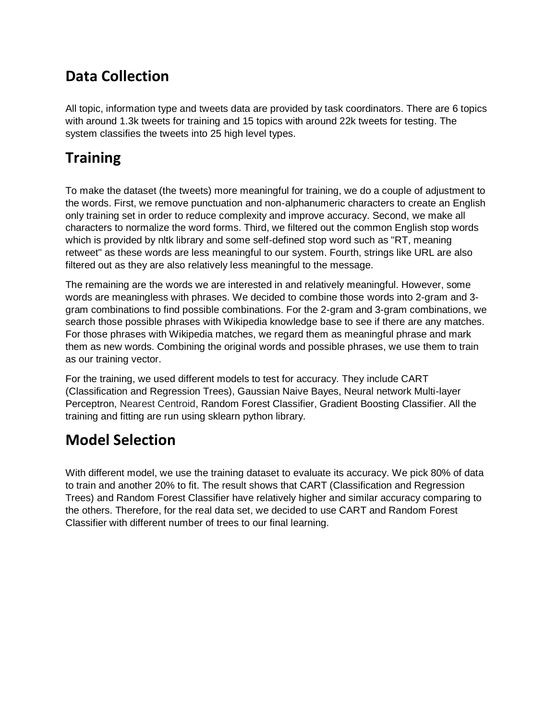#### **Data Collection**

All topic, information type and tweets data are provided by task coordinators. There are 6 topics with around 1.3k tweets for training and 15 topics with around 22k tweets for testing. The system classifies the tweets into 25 high level types.

#### **Training**

To make the dataset (the tweets) more meaningful for training, we do a couple of adjustment to the words. First, we remove punctuation and non-alphanumeric characters to create an English only training set in order to reduce complexity and improve accuracy. Second, we make all characters to normalize the word forms. Third, we filtered out the common English stop words which is provided by nltk library and some self-defined stop word such as "RT, meaning retweet" as these words are less meaningful to our system. Fourth, strings like URL are also filtered out as they are also relatively less meaningful to the message.

The remaining are the words we are interested in and relatively meaningful. However, some words are meaningless with phrases. We decided to combine those words into 2-gram and 3 gram combinations to find possible combinations. For the 2-gram and 3-gram combinations, we search those possible phrases with Wikipedia knowledge base to see if there are any matches. For those phrases with Wikipedia matches, we regard them as meaningful phrase and mark them as new words. Combining the original words and possible phrases, we use them to train as our training vector.

For the training, we used different models to test for accuracy. They include CART (Classification and Regression Trees), Gaussian Naive Bayes, Neural network Multi-layer Perceptron, Nearest Centroid, Random Forest Classifier, Gradient Boosting Classifier. All the training and fitting are run using sklearn python library.

#### **Model Selection**

With different model, we use the training dataset to evaluate its accuracy. We pick 80% of data to train and another 20% to fit. The result shows that CART (Classification and Regression Trees) and Random Forest Classifier have relatively higher and similar accuracy comparing to the others. Therefore, for the real data set, we decided to use CART and Random Forest Classifier with different number of trees to our final learning.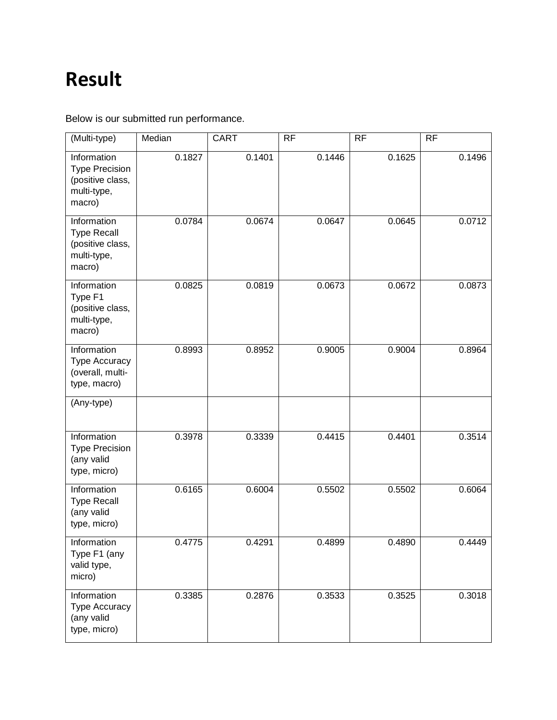# **Result**

Below is our submitted run performance.

| (Multi-type)                                                                      | Median | <b>CART</b> | <b>RF</b> | <b>RF</b> | <b>RF</b> |
|-----------------------------------------------------------------------------------|--------|-------------|-----------|-----------|-----------|
| Information<br><b>Type Precision</b><br>(positive class,<br>multi-type,<br>macro) | 0.1827 | 0.1401      | 0.1446    | 0.1625    | 0.1496    |
| Information<br><b>Type Recall</b><br>(positive class,<br>multi-type,<br>macro)    | 0.0784 | 0.0674      | 0.0647    | 0.0645    | 0.0712    |
| Information<br>Type F1<br>(positive class,<br>multi-type,<br>macro)               | 0.0825 | 0.0819      | 0.0673    | 0.0672    | 0.0873    |
| Information<br>Type Accuracy<br>(overall, multi-<br>type, macro)                  | 0.8993 | 0.8952      | 0.9005    | 0.9004    | 0.8964    |
| (Any-type)                                                                        |        |             |           |           |           |
| Information<br><b>Type Precision</b><br>(any valid<br>type, micro)                | 0.3978 | 0.3339      | 0.4415    | 0.4401    | 0.3514    |
| <b>Information</b><br><b>Type Recall</b><br>(any valid<br>type, micro)            | 0.6165 | 0.6004      | 0.5502    | 0.5502    | 0.6064    |
| Information<br>Type F1 (any<br>valid type,<br>micro)                              | 0.4775 | 0.4291      | 0.4899    | 0.4890    | 0.4449    |
| Information<br><b>Type Accuracy</b><br>(any valid<br>type, micro)                 | 0.3385 | 0.2876      | 0.3533    | 0.3525    | 0.3018    |